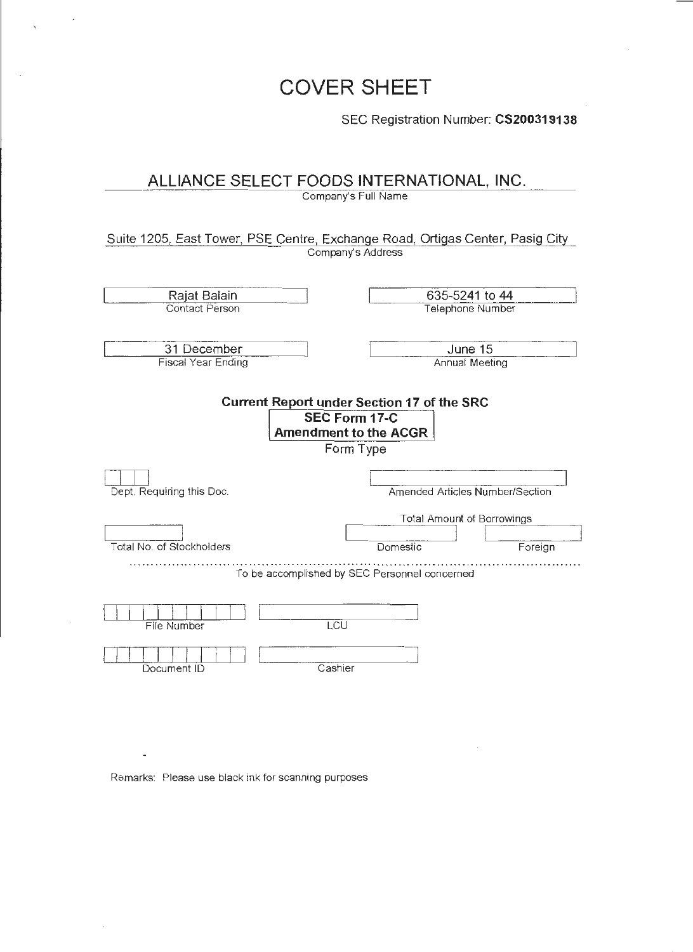# **COVER SHEET**

SEC Registration Number: **CS200319138** 

# **ALLIANCE SELECT FOODS INTERNATIONAL, INC.**

Company's Full Name

Suite 1205, East Tower, PSE Centre, Exchange Road, Ortigas Center, Pasig City Company's Address

| Rajat Balain<br><b>Contact Person</b>                                                                                  | 635-5241 to 44<br>Telephone Number                                   |  |  |
|------------------------------------------------------------------------------------------------------------------------|----------------------------------------------------------------------|--|--|
| 31 December<br><b>Fiscal Year Ending</b>                                                                               | June 15<br>Annual Meeting                                            |  |  |
| <b>Current Report under Section 17 of the SRC</b><br><b>SEC Form 17-C</b><br><b>Amendment to the ACGR</b><br>Form Type |                                                                      |  |  |
| Dept. Requiring this Doc.                                                                                              | Amended Articles Number/Section                                      |  |  |
|                                                                                                                        | Total Amount of Borrowings                                           |  |  |
| Total No. of Stockholders                                                                                              | Domestic<br>Foreign<br>To be accomplished by SEC Personnel concerned |  |  |
|                                                                                                                        |                                                                      |  |  |
| LCU<br>File Number                                                                                                     |                                                                      |  |  |
| Cashier<br>Document ID                                                                                                 |                                                                      |  |  |

Remarks: Please use black ink for scanning purposes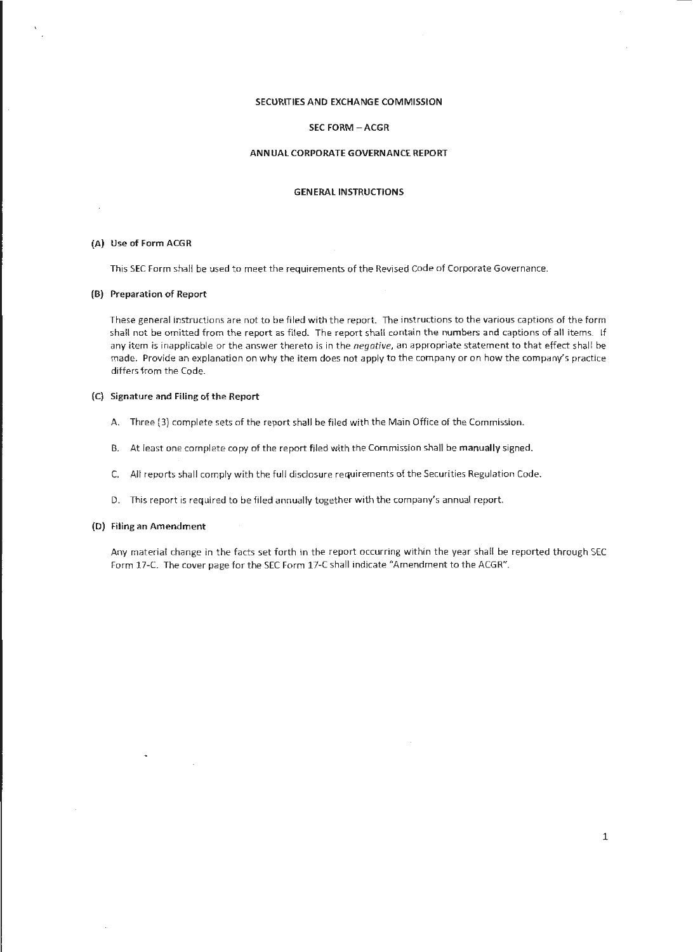# SECURITIES AND EXCHANGE COMMISSION

#### SEC FORM - ACGR

#### ANNUAL CORPORATE GOVERNANCE REPORT

#### GENERAL INSTRUCTIONS

### (A) Use of Form ACGR

This SEC Form shall be used to meet the requirements of the Revised Code of Corporate Governance.

#### (B) Preparation of Report

These general instructions are not to be filed with the report. The instructions to the various captions of the form shall not be omitted from the report as filed. The report shall contain the numbers and captions of all items. If any item is inapplicable or the answer thereto is in the negative, an appropriate statement to that effect shall be made. Provide an explanation on why the item does not apply to the company or on how the company's practice differs from the Code.

### (C) Signature and Filing of the Report

- A. Three (3) complete sets of the report shall be filed with the Main Office of the Commission.
- B. At least one complete copy of the report filed with the Commission shall be manually signed.
- C. All reports shall comply with the ful l disclosure requirements of the Securities Regulation Code.
- D. This report is required to be filed annually together with the company's annual report.

#### (D) Filing an Amendment

Any material change in the facts set forth in the report occurring within the year shall be reported through SEC Form 17-C. The cover page for the SEC Form 17-C shall indicate "Amendment to the ACGR".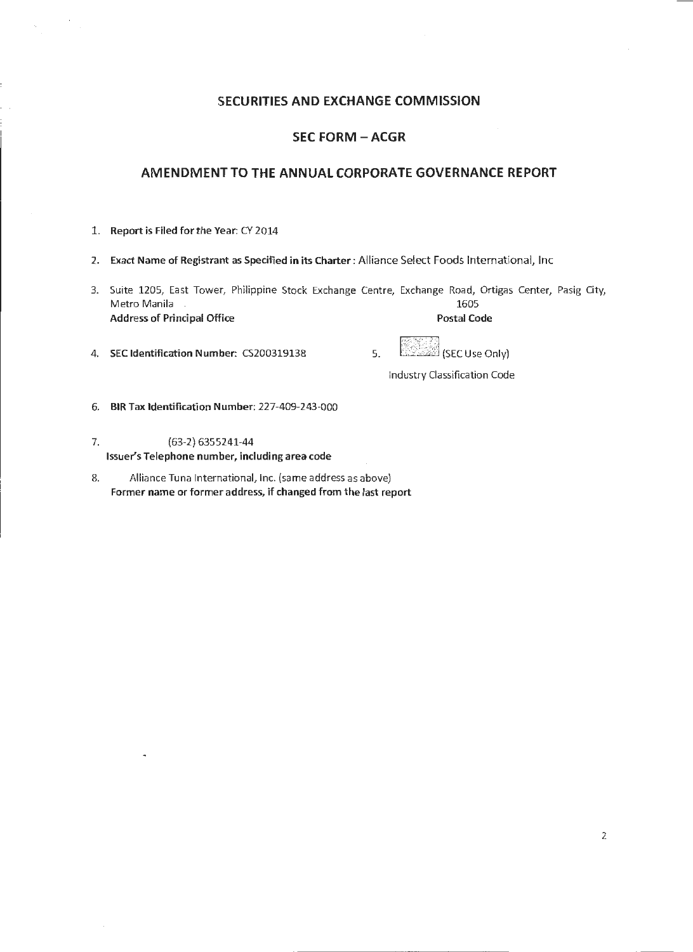# **SECURITIES AND EXCHANGE COMMISSION**

# **SEC FORM - ACGR**

# **AMENDMENT TO THE ANNUAL CORPORATE GOVERNANCE REPORT**

- 1. Report is Filed for the Year: CY 2014
- 2. Exact Name of Registrant as Specified in its Charter: Alliance Select Foods International, Inc
- 3. Suite 1205, East Tower, Philippine Stock Exchange Centre, Exchange Road, Ortigas Center, Pasig City, Metro Manila 1605 Address of Principal Office
- 4. SEC Identification Number: C\$200319138 5. :;- ;~·,: (SEC Use Only)

Industry Classification Code

- 6. BIR Tax Identification Number: 227-409-243-000
- 7. (63-2) 6355241-44 Issuer's Telephone number, including area code
- 8. Alliance Tuna International, Inc. (same address as above) Former name or former address, if changed from the last report

2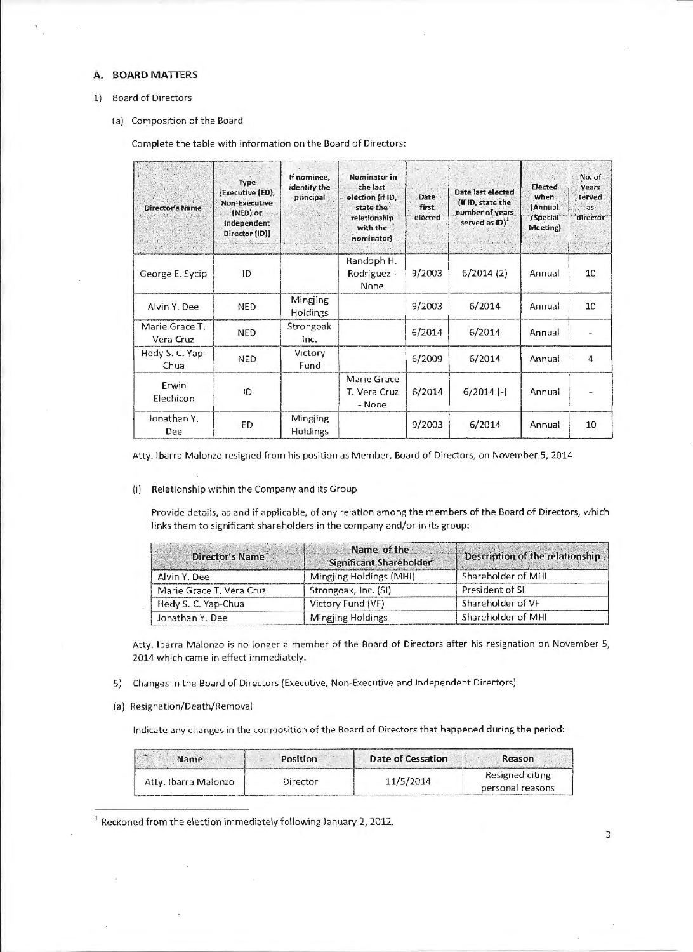## A. BOARD MATTERS

#### 1) Board of Directors

(a) Composition of the Board

Complete the table with information on the Board of Directors:

| <b>Director's Name</b>      | Type<br>[Executive (ED),<br><b>Non-Executive</b><br>(NED) or<br>Independent<br>Director (ID)] | If nominee,<br>identify the<br>principal | Nominator in<br>the last<br>election (if ID,<br>state the<br>relationship<br>with the<br>nominator) | Date<br>first<br>elected | Date last elected<br>(if ID, state the<br>number of years<br>served as ID) <sup>1</sup> | Elected<br>when<br>(Annual<br>/Special<br>Meeting) | No. of<br><b>Vears</b><br>served<br>as:<br>director |
|-----------------------------|-----------------------------------------------------------------------------------------------|------------------------------------------|-----------------------------------------------------------------------------------------------------|--------------------------|-----------------------------------------------------------------------------------------|----------------------------------------------------|-----------------------------------------------------|
| George E. Sycip             | ID                                                                                            |                                          | Randoph H.<br>Rodriguez -<br>None                                                                   | 9/2003                   | 6/2014(2)                                                                               | Annual                                             | 10                                                  |
| Alvin Y. Dee                | <b>NED</b>                                                                                    | Mingjing<br><b>Holdings</b>              |                                                                                                     | 9/2003                   | 6/2014                                                                                  | Annual                                             | 10                                                  |
| Marie Grace T.<br>Vera Cruz | <b>NED</b>                                                                                    | Strongoak<br>Inc.                        |                                                                                                     | 6/2014                   | 6/2014                                                                                  | Annual                                             |                                                     |
| Hedy S. C. Yap-<br>Chua     | <b>NED</b>                                                                                    | Victory<br>Fund                          |                                                                                                     | 6/2009                   | 6/2014                                                                                  | Annual                                             | $\overline{a}$                                      |
| Erwin<br>Elechicon          | ID                                                                                            |                                          | Marie Grace<br>T. Vera Cruz<br>- None                                                               | 6/2014                   | $6/2014$ (-)                                                                            | Annual                                             |                                                     |
| Jonathan Y.<br>Dee          | ED                                                                                            | Mingjing<br><b>Holdings</b>              |                                                                                                     | 9/2003                   | 6/2014                                                                                  | Annual                                             | 10                                                  |

Atty. Ibarra Malonzo resigned from his position as Member, Board of Directors, on November 5, 2014

(i) Relationship within the Company and its Group

Provide details, as and if applicable, of any relation among the members of the Board of Directors, which links them to significant shareholders in the company and/or in its group:

| Director's Name          | Name of the<br><b>Significant Shareholder</b> | Description of the relationship |
|--------------------------|-----------------------------------------------|---------------------------------|
| Alvin Y. Dee             | Mingling Holdings (MHI)                       | Shareholder of MHI              |
| Marie Grace T. Vera Cruz | Strongoak, Inc. (SI)                          | President of SI                 |
| Hedy S. C. Yap-Chua      | Victory Fund (VF)                             | Shareholder of VF               |
| Jonathan Y. Dee          | <b>Mingjing Holdings</b>                      | Shareholder of MHI              |

Atty. Ibarra Malonzo is no longer a member of the Board of Directors after his resignation on November 5, 2014 which came in effect immediately.

- 5) Changes in the Board of Directors (Executive, Non-Executive and Independent Directors)
- (a) Resignation/Death/Removal

Indicate any changes in the composition of the Board of Directors that happened during the period:

| Name                 | Position | Date of Cessation | Reason                              |
|----------------------|----------|-------------------|-------------------------------------|
| Atty. Ibarra Malonzo | Director | 11/5/2014         | Resigned citing<br>personal reasons |

<sup>1</sup> Reckoned from the election immediately following January 2, 2012.